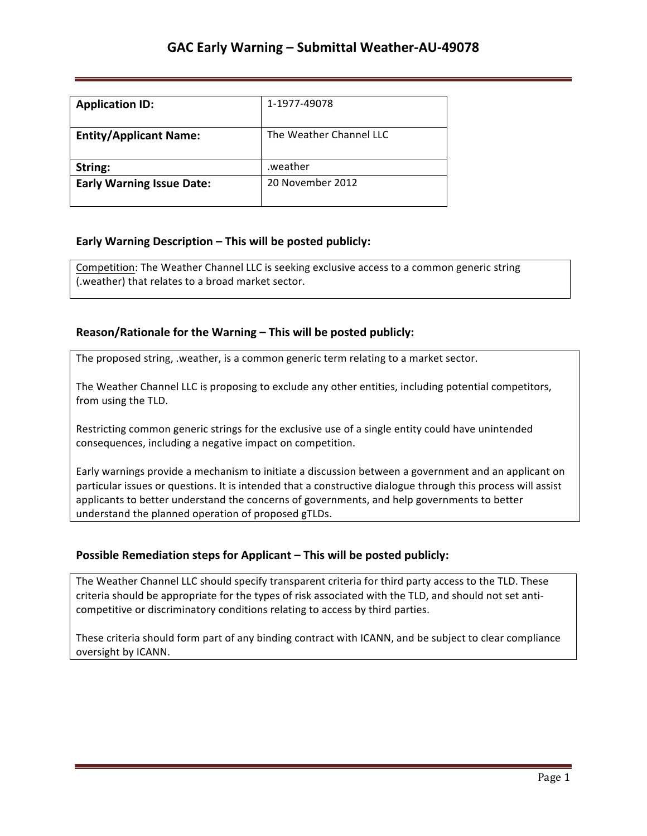| <b>Application ID:</b>           | 1-1977-49078            |
|----------------------------------|-------------------------|
| <b>Entity/Applicant Name:</b>    | The Weather Channel LLC |
| String:                          | weather.                |
| <b>Early Warning Issue Date:</b> | 20 November 2012        |

## **Early Warning Description – This will be posted publicly:**

Competition: The Weather Channel LLC is seeking exclusive access to a common generic string (. weather) that relates to a broad market sector.

### **Reason/Rationale for the Warning – This will be posted publicly:**

The proposed string, .weather, is a common generic term relating to a market sector.

The Weather Channel LLC is proposing to exclude any other entities, including potential competitors, from using the TLD.

Restricting common generic strings for the exclusive use of a single entity could have unintended consequences, including a negative impact on competition.

Early warnings provide a mechanism to initiate a discussion between a government and an applicant on particular issues or questions. It is intended that a constructive dialogue through this process will assist applicants to better understand the concerns of governments, and help governments to better understand the planned operation of proposed gTLDs.

### **Possible Remediation steps for Applicant – This will be posted publicly:**

The Weather Channel LLC should specify transparent criteria for third party access to the TLD. These criteria should be appropriate for the types of risk associated with the TLD, and should not set anticompetitive or discriminatory conditions relating to access by third parties.

These criteria should form part of any binding contract with ICANN, and be subject to clear compliance oversight by ICANN.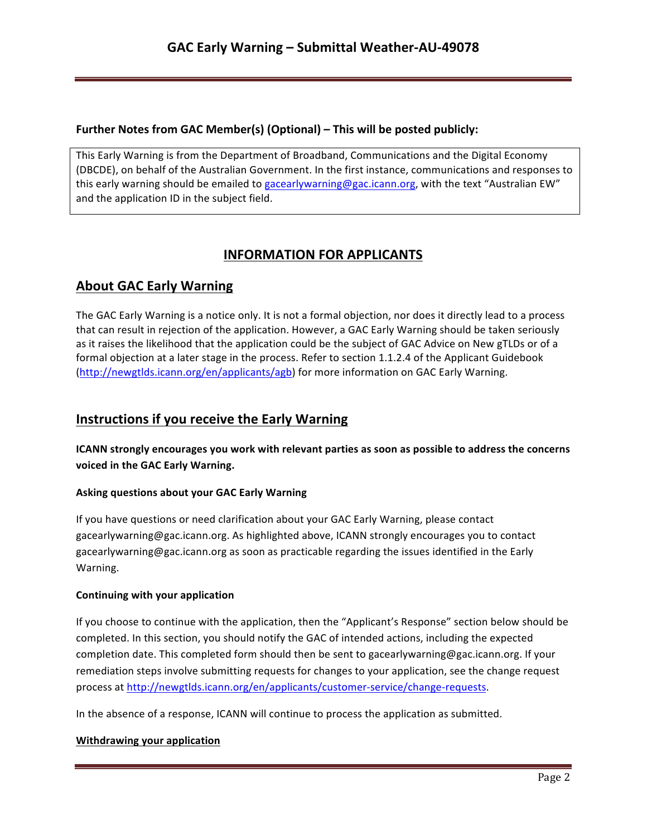## **Further Notes from GAC Member(s) (Optional) – This will be posted publicly:**

This Early Warning is from the Department of Broadband, Communications and the Digital Economy (DBCDE), on behalf of the Australian Government. In the first instance, communications and responses to this early warning should be emailed to gacearlywarning@gac.icann.org, with the text "Australian EW" and the application ID in the subject field.

# **INFORMATION FOR APPLICANTS**

# **About GAC Early Warning**

The GAC Early Warning is a notice only. It is not a formal objection, nor does it directly lead to a process that can result in rejection of the application. However, a GAC Early Warning should be taken seriously as it raises the likelihood that the application could be the subject of GAC Advice on New gTLDs or of a formal objection at a later stage in the process. Refer to section 1.1.2.4 of the Applicant Guidebook (http://newgtlds.icann.org/en/applicants/agb) for more information on GAC Early Warning.

## **Instructions if you receive the Early Warning**

**ICANN** strongly encourages you work with relevant parties as soon as possible to address the concerns voiced in the GAC Early Warning.

### **Asking questions about your GAC Early Warning**

If you have questions or need clarification about your GAC Early Warning, please contact gacearlywarning@gac.icann.org. As highlighted above, ICANN strongly encourages you to contact gacearlywarning@gac.icann.org as soon as practicable regarding the issues identified in the Early Warning. 

### **Continuing with your application**

If you choose to continue with the application, then the "Applicant's Response" section below should be completed. In this section, you should notify the GAC of intended actions, including the expected completion date. This completed form should then be sent to gacearlywarning@gac.icann.org. If your remediation steps involve submitting requests for changes to your application, see the change request process at http://newgtlds.icann.org/en/applicants/customer-service/change-requests.

In the absence of a response, ICANN will continue to process the application as submitted.

### **Withdrawing your application**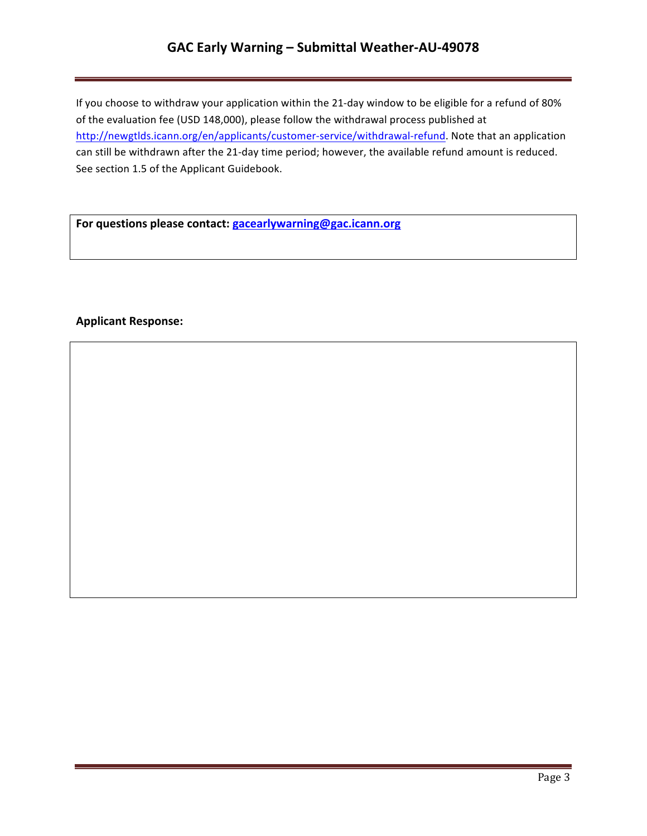# **GAC Early Warning – Submittal Weather-AU-49078**

If you choose to withdraw your application within the 21-day window to be eligible for a refund of 80% of the evaluation fee (USD 148,000), please follow the withdrawal process published at http://newgtlds.icann.org/en/applicants/customer-service/withdrawal-refund. Note that an application can still be withdrawn after the 21-day time period; however, the available refund amount is reduced. See section 1.5 of the Applicant Guidebook.

For questions please contact: **gacearlywarning@gac.icann.org** 

### **Applicant Response:**